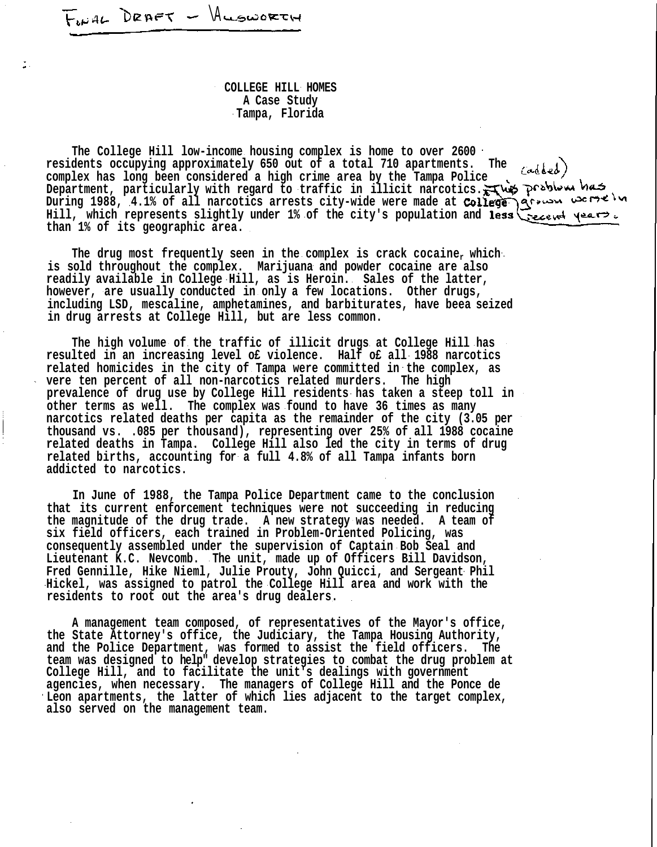$F_{\mu\nu}$ AL DRAFT - ALSWORTH

÷.

**COLLEGE HILL HOMES A Case Study Tampa, Florida**

**The College Hill low-income housing complex is home to over 2600 residents occupying approximately 650 out of a total 710 apartments. The** Cadded) **complex has long been considered a high crime area by the Tampa Police Department, particularly with regard to traffic in illicit narcotics.** During 1988, 4.1% of all narcotics arrests city-wide were made at **College** grown werselve Hill, which represents slightly under 1% of the city's population and less secent years. **than 1% of its geographic area.**

**The drug most frequently seen in the complex is crack cocainer which is sold throughout the complex. Marijuana and powder cocaine are also readily available in College Hill, as is Heroin. Sales of the latter, however, are usually conducted in only a few locations. Other drugs, including LSD, mescaline, amphetamines, and barbiturates, have beea seized in drug arrests at College Hill, but are less common.**

**The high volume of the traffic of illicit drugs at College Hill has resulted in an increasing level o£ violence. Half o£ all 1988 narcotics related homicides in the city of Tampa were committed in the complex, as vere ten percent of all non-narcotics related murders. The high prevalence of drug use by College Hill residents has taken a steep toll in other terms as well. The complex was found to have 36 times as many narcotics related deaths per capita as the remainder of the city (3.05 per thousand vs. .085 per thousand), representing over 25% of all 1988 cocaine related deaths in Tampa. College Hill also led the city in terms of drug related births, accounting for a full 4.8% of all Tampa infants born addicted to narcotics.**

**In June of 1988, the Tampa Police Department came to the conclusion that its current enforcement techniques were not succeeding in reducing the magnitude of the drug trade. A new strategy was needed. A team of six field officers, each trained in Problem-Oriented Policing, was consequently assembled under the supervision of Captain Bob Seal and Lieutenant K.C. Nevcomb. The unit, made up of Officers Bill Davidson, Fred Gennille, Hike Nieml, Julie Prouty, John Quicci, and Sergeant Phil Hickel, was assigned to patrol the College Hill area and work with the residents to root out the area's drug dealers.**

**A management team composed, of representatives of the Mayor's office, the State Attorney's office, the Judiciary, the Tampa Housing Authority, and the Police Department, was formed to assist the field officers. The team was designed to help" develop strategies to combat the drug problem at College Hill, and to facilitate the unit's dealings with government agencies, when necessary. The managers of College Hill and the Ponce de Leon apartments, the latter of which lies adjacent to the target complex, also served on the management team.**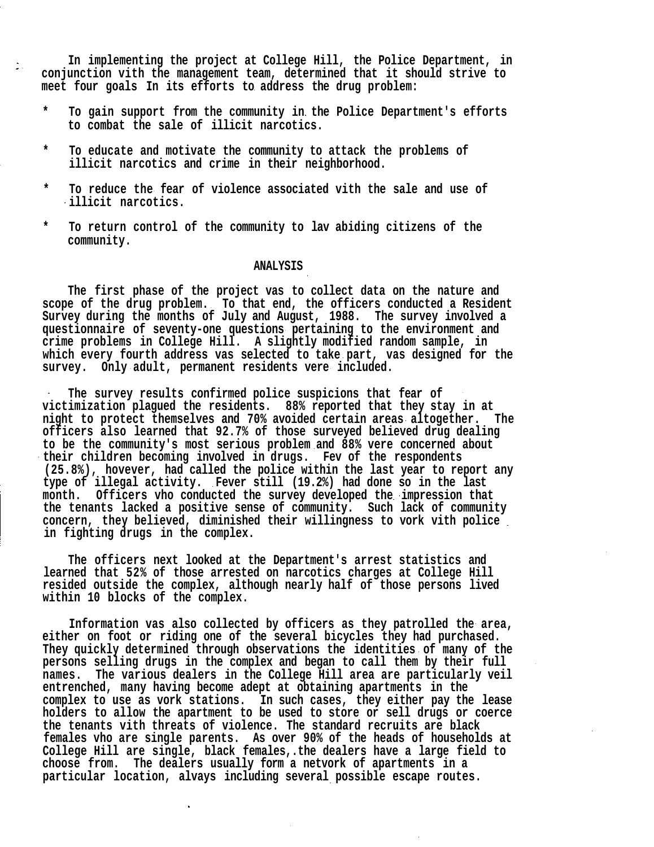**In implementing the project at College Hill, the Police Department, in conjunction vith the management team, determined that it should strive to meet four goals In its efforts to address the drug problem:**

- **\* To gain support from the community in the Police Department's efforts to combat the sale of illicit narcotics.**
- **\* To educate and motivate the community to attack the problems of illicit narcotics and crime in their neighborhood.**
- **\* To reduce the fear of violence associated vith the sale and use of illicit narcotics.**
- **\* To return control of the community to lav abiding citizens of the community.**

## **ANALYSIS**

**The first phase of the project vas to collect data on the nature and scope of the drug problem. To that end, the officers conducted a Resident Survey during the months of July and August, 1988. The survey involved a questionnaire of seventy-one questions pertaining to the environment and crime problems in College Hill. A slightly modified random sample, in which every fourth address vas selected to take part, vas designed for the survey. Only adult, permanent residents vere included.**

**The survey results confirmed police suspicions that fear of victimization plagued the residents. 88% reported that they stay in at night to protect themselves and 70% avoided certain areas altogether. The officers also learned that 92.7% of those surveyed believed drug dealing to be the community's most serious problem and 88% vere concerned about their children becoming involved in drugs. Fev of the respondents (25.8%), hovever, had called the police within the last year to report any type of illegal activity. Fever still (19.2%) had done so in the last month. Officers vho conducted the survey developed the impression that the tenants lacked a positive sense of community. Such lack of community concern, they believed, diminished their willingness to vork vith police in fighting drugs in the complex.**

**The officers next looked at the Department's arrest statistics and learned that 52% of those arrested on narcotics charges at College Hill resided outside the complex, although nearly half of those persons lived within 10 blocks of the complex.**

**Information vas also collected by officers as they patrolled the area, either on foot or riding one of the several bicycles they had purchased. They quickly determined through observations the identities of many of the persons selling drugs in the complex and began to call them by their full names. The various dealers in the College Hill area are particularly veil entrenched, many having become adept at obtaining apartments in the complex to use as vork stations. In such cases, they either pay the lease holders to allow the apartment to be used to store or sell drugs or coerce the tenants vith threats of violence. The standard recruits are black females vho are single parents. As over 90% of the heads of households at College Hill are single, black females,.the dealers have a large field to choose from. The dealers usually form a netvork of apartments in a particular location, alvays including several possible escape routes.**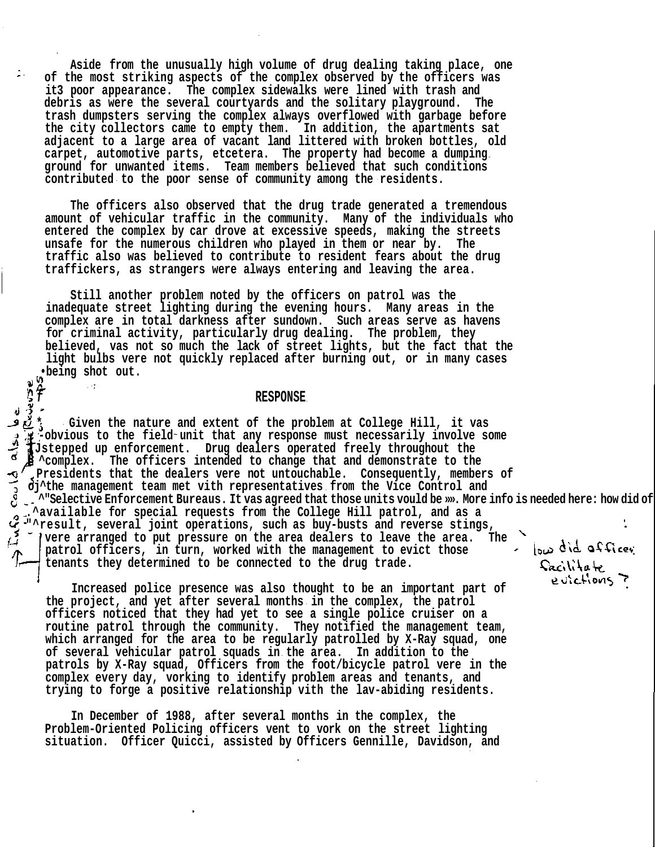**Aside from the unusually high volume of drug dealing taking place, one of the most striking aspects of the complex observed by the officers was it3 poor appearance. The complex sidewalks were lined with trash and debris as were the several courtyards and the solitary playground. The trash dumpsters serving the complex always overflowed with garbage before the city collectors came to empty them. In addition, the apartments sat adjacent to a large area of vacant land littered with broken bottles, old carpet, automotive parts, etcetera. The property had become a dumping ground for unwanted items. Team members believed that such conditions contributed to the poor sense of community among the residents.**

**The officers also observed that the drug trade generated a tremendous amount of vehicular traffic in the community. Many of the individuals who entered the complex by car drove at excessive speeds, making the streets unsafe for the numerous children who played in them or near by. The traffic also was believed to contribute to resident fears about the drug traffickers, as strangers were always entering and leaving the area.**

**Still another problem noted by the officers on patrol was the inadequate street lighting during the evening hours. Many areas in the complex are in total darkness after sundown. Such areas serve as havens for criminal activity, particularly drug dealing. The problem, they believed, vas not so much the lack of street lights, but the fact that the light bulbs vere not quickly replaced after burning out, or in many cases •being shot out.**

## **f RESPONSE**

ින්

**\* Given the nature and extent of the problem at College Hill, it vas** Fobvious to the field unit that any response must necessarily involve some **Jstepped up enforcement. Drug dealers operated freely throughout the ^complex. The officers intended to change that and demonstrate to the Presidents that the dealers vere not untouchable. Consequently, members of oj^the management team met vith representatives from the Vice Control and ^"Selective Enforcement Bureaus. It vas agreed that those units vould be »». More info is needed here: how did officer facilate evictions? .^available for special requests from the College Hill patrol, and as a "^result, several joint operations, such as buy-busts and reverse stings, vere arranged to put pressure on the area dealers to leave the area. The** low did afficer **patrol officers, in turn, worked with the management to evict those tenants they determined to be connected to the drug trade.**

**Increased police presence was also thought to be an important part of the project, and yet after several months in the complex, the patrol officers noticed that they had yet to see a single police cruiser on a routine patrol through the community. They notified the management team, which arranged for the area to be regularly patrolled by X-Ray squad, one of several vehicular patrol squads in the area. In addition to the patrols by X-Ray squad, Officers from the foot/bicycle patrol vere in the complex every day, vorking to identify problem areas and tenants, and trying to forge a positive relationship vith the lav-abiding residents.**

**In December of 1988, after several months in the complex, the Problem-Oriented Policing officers vent to vork on the street lighting situation. Officer Quicci, assisted by Officers Gennille, Davidson, and** Sacilitate eulctions 7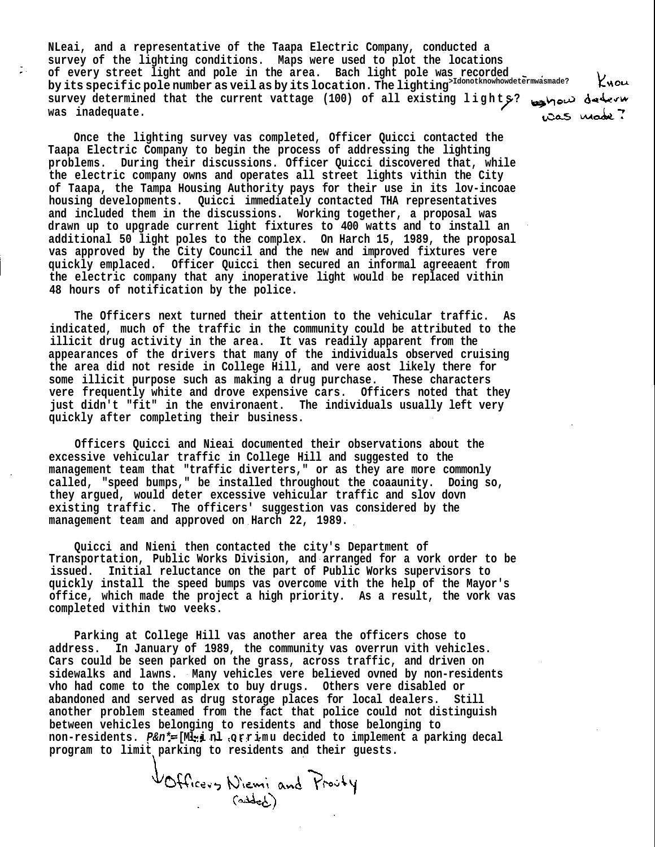**NLeai, and a representative of the Taapa Electric Company, conducted a survey of the lighting conditions. Maps were used to plot the locations of every street light and pole in the area. Bach light pole was recorded** Kuou by its specific pole number as veil as by its location. The lighting<sup>>Idonotknowhowdetermwasmade?</sup> **survey determined that the current vattage (100) of all existing lights ? was inadequate.**

**Once the lighting survey vas completed, Officer Quicci contacted the Taapa Electric Company to begin the process of addressing the lighting problems. During their discussions. Officer Quicci discovered that, while the electric company owns and operates all street lights vithin the City of Taapa, the Tampa Housing Authority pays for their use in its lov-incoae housing developments. Quicci immediately contacted THA representatives and included them in the discussions. Working together, a proposal was drawn up to upgrade current light fixtures to 400 watts and to install an additional 50 light poles to the complex. On Harch 15, 1989, the proposal vas approved by the City Council and the new and improved fixtures vere quickly emplaced. Officer Quicci then secured an informal agreeaent from the electric company that any inoperative light would be replaced vithin 48 hours of notification by the police.**

**The Officers next turned their attention to the vehicular traffic. As indicated, much of the traffic in the community could be attributed to the illicit drug activity in the area. It vas readily apparent from the appearances of the drivers that many of the individuals observed cruising the area did not reside in College Hill, and vere aost likely there for some illicit purpose such as making a drug purchase. These characters vere frequently white and drove expensive cars. Officers noted that they just didn't "fit" in the environaent. The individuals usually left very quickly after completing their business.**

**Officers Quicci and Nieai documented their observations about the excessive vehicular traffic in College Hill and suggested to the management team that "traffic diverters," or as they are more commonly called, "speed bumps," be installed throughout the coaaunity. Doing so, they argued, would deter excessive vehicular traffic and slov dovn existing traffic. The officers' suggestion vas considered by the management team and approved on Harch 22, 1989.**

**Quicci and Nieni then contacted the city's Department of Transportation, Public Works Division, and arranged for a vork order to be issued. Initial reluctance on the part of Public Works supervisors to quickly install the speed bumps vas overcome vith the help of the Mayor's office, which made the project a high priority. As a result, the vork vas completed vithin two veeks.**

**Parking at College Hill vas another area the officers chose to address. In January of 1989, the community vas overrun vith vehicles. Cars could be seen parked on the grass, across traffic, and driven on sidewalks and lawns. Many vehicles vere believed ovned by non-residents vho had come to the complex to buy drugs. Others vere disabled or abandoned and served as drug storage places for local dealers. Still another problem steamed from the fact that police could not distinguish between vehicles belonging to residents and those belonging to non-residents. P&n\* [Ml i nl orrim u decided to implement a parking decal program to limit parking to residents and their guests.**

VOfficers Niemi and Proofy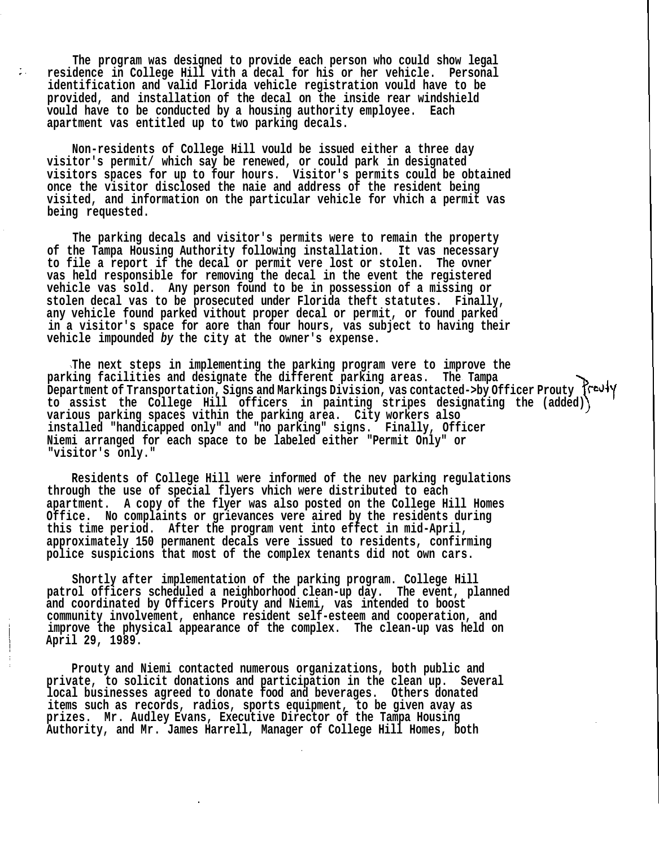**The program was designed to provide each person who could show legal residence in College Hill vith a decal for his or her vehicle. Personal identification and valid Florida vehicle registration vould have to be provided, and installation of the decal on the inside rear windshield vould have to be conducted by a housing authority employee. Each apartment vas entitled up to two parking decals.**

φ.

**Non-residents of College Hill vould be issued either a three day visitor's permit/ which say be renewed, or could park in designated visitors spaces for up to four hours. Visitor's permits could be obtained once the visitor disclosed the naie and address of the resident being visited, and information on the particular vehicle for vhich a permit vas being requested.**

**The parking decals and visitor's permits were to remain the property of the Tampa Housing Authority following installation. It vas necessary to file a report if the decal or permit vere lost or stolen. The ovner vas held responsible for removing the decal in the event the registered vehicle vas sold. Any person found to be in possession of a missing or stolen decal vas to be prosecuted under Florida theft statutes. Finally, any vehicle found parked vithout proper decal or permit, or found parked in a visitor's space for aore than four hours, vas subject to having their vehicle impounded by the city at the owner's expense.**

**The next steps in implementing the parking program vere to improve the parking facilities and designate the different parking areas. The Tampa Department of Transportation, Signs and Markings Division, vas contacted->by Officer Prouty** {\rev<sup>1</sup> **to assist the College Hill officers in painting stripes designating the (added) various parking spaces vithin the parking area. City workers also installed "handicapped only" and "no parking" signs. Finally, Officer Niemi arranged for each space to be labeled either "Permit Only" or "visitor's only."**

**Residents of College Hill were informed of the nev parking regulations through the use of special flyers vhich were distributed to each apartment. A copy of the flyer was also posted on the College Hill Homes Office. No complaints or grievances vere aired by the residents during this time period. After the program vent into effect in mid-April, approximately 150 permanent decals vere issued to residents, confirming police suspicions that most of the complex tenants did not own cars.**

**Shortly after implementation of the parking program. College Hill patrol officers scheduled a neighborhood clean-up day. The event, planned and coordinated by Officers Prouty and Niemi, vas intended to boost community involvement, enhance resident self-esteem and cooperation, and improve the physical appearance of the complex. The clean-up vas held on April 29, 1989.**

**Prouty and Niemi contacted numerous organizations, both public and private, to solicit donations and participation in the clean up. Several local businesses agreed to donate food and beverages. Others donated items such as records, radios, sports equipment, to be given avay as prizes. Mr. Audley Evans, Executive Director of the Tampa Housing Authority, and Mr. James Harrell, Manager of College Hill Homes, both**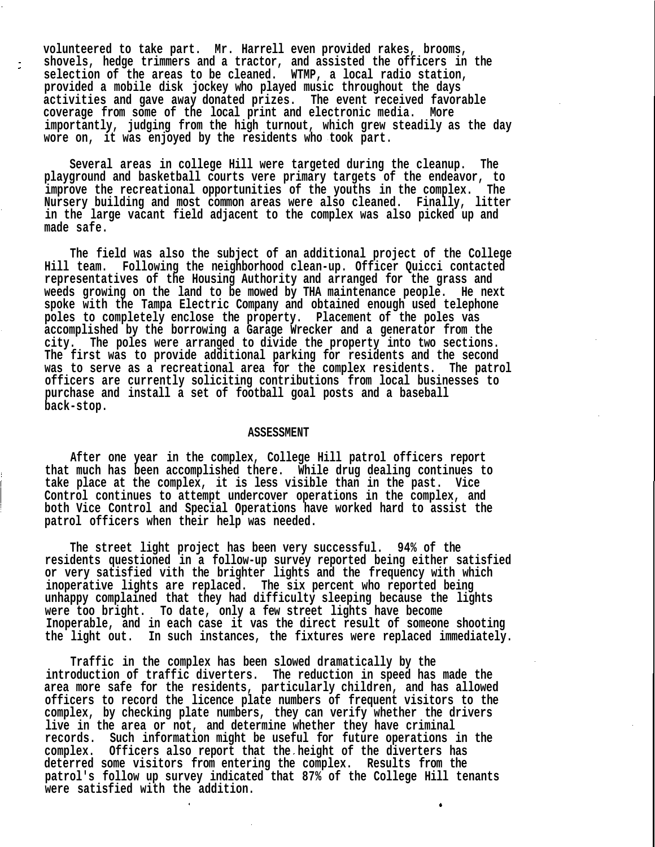**volunteered to take part. Mr. Harrell even provided rakes, brooms, shovels, hedge trimmers and a tractor, and assisted the officers in the selection of the areas to be cleaned. WTMP, a local radio station, provided a mobile disk jockey who played music throughout the days activities and gave away donated prizes. The event received favorable coverage from some of the local print and electronic media. More importantly, judging from the high turnout, which grew steadily as the day wore on, it was enjoyed by the residents who took part.**

**Several areas in college Hill were targeted during the cleanup. The playground and basketball courts vere primary targets of the endeavor, to improve the recreational opportunities of the youths in the complex. The Nursery building and most common areas were also cleaned. Finally, litter in the large vacant field adjacent to the complex was also picked up and made safe.**

**The field was also the subject of an additional project of the College Hill team. Following the neighborhood clean-up. Officer Quicci contacted representatives of the Housing Authority and arranged for the grass and weeds growing on the land to be mowed by THA maintenance people. He next spoke with the Tampa Electric Company and obtained enough used telephone poles to completely enclose the property. Placement of the poles vas accomplished by the borrowing a Garage Wrecker and a generator from the city. The poles were arranged to divide the property into two sections. The first was to provide additional parking for residents and the second was to serve as a recreational area for the complex residents. The patrol officers are currently soliciting contributions from local businesses to purchase and install a set of football goal posts and a baseball back-stop.**

## **ASSESSMENT**

**After one year in the complex, College Hill patrol officers report that much has been accomplished there. While drug dealing continues to take place at the complex, it is less visible than in the past. Vice Control continues to attempt undercover operations in the complex, and both Vice Control and Special Operations have worked hard to assist the patrol officers when their help was needed.**

**The street light project has been very successful. 94% of the residents questioned in a follow-up survey reported being either satisfied or very satisfied vith the brighter lights and the frequency with which inoperative lights are replaced. The six percent who reported being unhappy complained that they had difficulty sleeping because the lights were too bright. To date, only a few street lights have become Inoperable, and in each case it vas the direct result of someone shooting the light out. In such instances, the fixtures were replaced immediately.**

**Traffic in the complex has been slowed dramatically by the introduction of traffic diverters. The reduction in speed has made the area more safe for the residents, particularly children, and has allowed officers to record the licence plate numbers of frequent visitors to the complex, by checking plate numbers, they can verify whether the drivers live in the area or not, and determine whether they have criminal records. Such information might be useful for future operations in the complex. Officers also report that the height of the diverters has deterred some visitors from entering the complex. Results from the patrol's follow up survey indicated that 87% of the College Hill tenants were satisfied with the addition.**